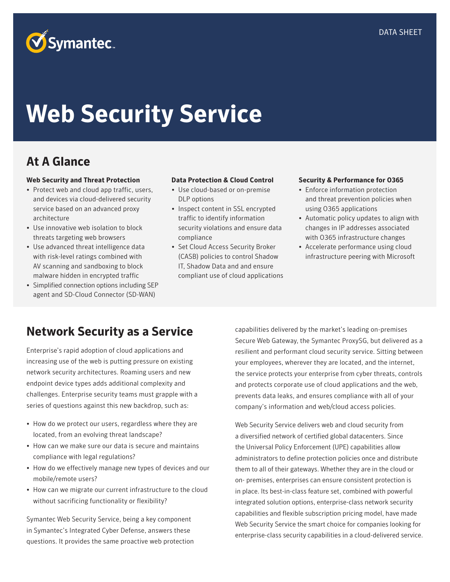# **Web Security Service**

### **At A Glance**

### **Web Security and Threat Protection**

- Protect web and cloud app traffic, users, and devices via cloud-delivered security service based on an advanced proxy architecture
- Use innovative web isolation to block threats targeting web browsers
- Use advanced threat intelligence data with risk-level ratings combined with AV scanning and sandboxing to block malware hidden in encrypted traffic
- Simplified connection options including SEP agent and SD-Cloud Connector (SD-WAN)

### **Data Protection & Cloud Control**

- Use cloud-based or on-premise DLP options
- Inspect content in SSL encrypted traffic to identify information security violations and ensure data compliance
- Set Cloud Access Security Broker (CASB) policies to control Shadow IT, Shadow Data and and ensure compliant use of cloud applications

#### **Security & Performance for O365**

- Enforce information protection and threat prevention policies when using O365 applications
- Automatic policy updates to align with changes in IP addresses associated with O365 infrastructure changes
- Accelerate performance using cloud infrastructure peering with Microsoft

### **Network Security as a Service**

Enterprise's rapid adoption of cloud applications and increasing use of the web is putting pressure on existing network security architectures. Roaming users and new endpoint device types adds additional complexity and challenges. Enterprise security teams must grapple with a series of questions against this new backdrop, such as:

- How do we protect our users, regardless where they are located, from an evolving threat landscape?
- How can we make sure our data is secure and maintains compliance with legal regulations?
- How do we effectively manage new types of devices and our mobile/remote users?
- How can we migrate our current infrastructure to the cloud without sacrificing functionality or flexibility?

Symantec Web Security Service, being a key component in Symantec's Integrated Cyber Defense, answers these questions. It provides the same proactive web protection capabilities delivered by the market's leading on-premises Secure Web Gateway, the Symantec ProxySG, but delivered as a resilient and performant cloud security service. Sitting between your employees, wherever they are located, and the internet, the service protects your enterprise from cyber threats, controls and protects corporate use of cloud applications and the web, prevents data leaks, and ensures compliance with all of your company's information and web/cloud access policies.

Web Security Service delivers web and cloud security from a diversified network of certified global datacenters. Since the Universal Policy Enforcement (UPE) capabilities allow administrators to define protection policies once and distribute them to all of their gateways. Whether they are in the cloud or on- premises, enterprises can ensure consistent protection is in place. Its best-in-class feature set, combined with powerful integrated solution options, enterprise-class network security capabilities and flexible subscription pricing model, have made Web Security Service the smart choice for companies looking for enterprise-class security capabilities in a cloud-delivered service.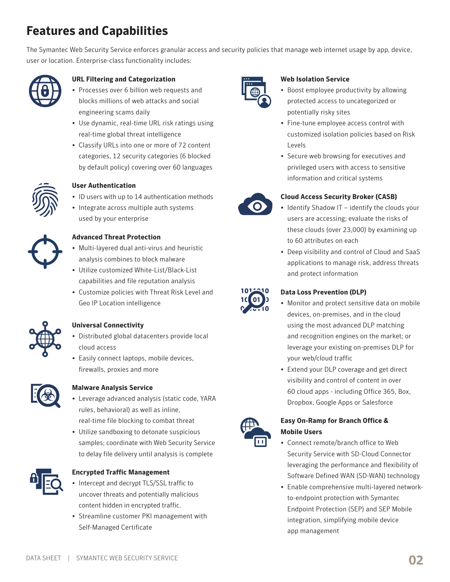## **Features and Capabilities**

The Symantec Web Security Service enforces granular access and security policies that manage web internet usage by app, device, user or location. Enterprise-class functionality includes:



### **URL Filtering and Categorization**

- Processes over 6 billion web requests and blocks millions of web attacks and social engineering scams daily
- Use dynamic, real-time URL risk ratings using real-time global threat intelligence
- Classify URLs into one or more of 72 content categories, 12 security categories (6 blocked by default policy) covering over 60 languages



### **User Authentication**

- ID users with up to 14 authentication methods
- Integrate across multiple auth systems used by your enterprise



### **Advanced Threat Protection**

- Multi-layered dual anti-virus and heuristic analysis combines to block malware
- Utilize customized White-List/Black-List capabilities and file reputation analysis
- Customize policies with Threat Risk Level and Geo IP Location intelligence

### **Universal Connectivity**

- Distributed global datacenters provide local cloud access
- Easily connect laptops, mobile devices, firewalls, proxies and more



### **Malware Analysis Service**

- Leverage advanced analysis (static code, YARA rules, behavioral) as well as inline, real-time file blocking to combat threat
- Utilize sandboxing to detonate suspicious samples; coordinate with Web Security Service to delay file delivery until analysis is complete



### **Encrypted Traffic Management**

- Intercept and decrypt TLS/SSL traffic to uncover threats and potentially malicious content hidden in encrypted traffic.
- Streamline customer PKI management with Self-Managed Certificate



### **Web Isolation Service**

- Boost employee productivity by allowing protected access to uncategorized or potentially risky sites
- Fine-tune employee access control with customized isolation policies based on Risk Levels
- Secure web browsing for executives and privileged users with access to sensitive information and critical systems



### **Cloud Access Security Broker (CASB)**

- Identify Shadow IT identify the clouds your users are accessing; evaluate the risks of these clouds (over 23,000) by examining up to 60 attributes on each
- Deep visibility and control of Cloud and SaaS applications to manage risk, address threats and protect information



### **Data Loss Prevention (DLP)**

- Monitor and protect sensitive data on mobile devices, on-premises, and in the cloud using the most advanced DLP matching and recognition engines on the market; or leverage your existing on-premises DLP for your web/cloud traffic
- Extend your DLP coverage and get direct visibility and control of content in over 60 cloud apps - including Office 365, Box, Dropbox, Google Apps or Salesforce



### **Easy On-Ramp for Branch Office & Mobile Users**

- Connect remote/branch office to Web Security Service with SD-Cloud Connector leveraging the performance and flexibility of Software Defined WAN (SD-WAN) technology
- Enable comprehensive multi-layered networkto-endpoint protection with Symantec Endpoint Protection (SEP) and SEP Mobile integration, simplifying mobile device app management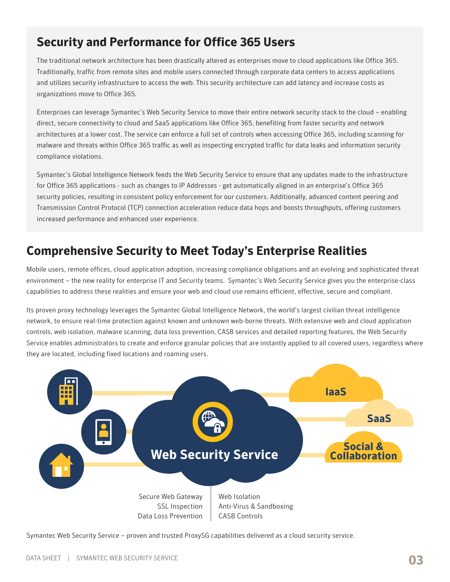### **Security and Performance for Office 365 Users**

The traditional network architecture has been drastically altered as enterprises move to cloud applications like Office 365. Traditionally, traffic from remote sites and mobile users connected through corporate data centers to access applications and utilizes security infrastructure to access the web. This security architecture can add latency and increase costs as organizations move to Office 365.

Enterprises can leverage Symantec's Web Security Service to move their entire network security stack to the cloud – enabling direct, secure connectivity to cloud and SaaS applications like Office 365, benefiting from faster security and network architectures at a lower cost. The service can enforce a full set of controls when accessing Office 365, including scanning for malware and threats within Office 365 traffic as well as inspecting encrypted traffic for data leaks and information security compliance violations.

Symantec's Global Intelligence Network feeds the Web Security Service to ensure that any updates made to the infrastructure for Office 365 applications - such as changes to IP Addresses - get automatically aligned in an enterprise's Office 365 security policies, resulting in consistent policy enforcement for our customers. Additionally, advanced content peering and Transmission Control Protocol (TCP) connection acceleration reduce data hops and boosts throughputs, offering customers increased performance and enhanced user experience.

### **Comprehensive Security to Meet Today's Enterprise Realities**

Mobile users, remote offices, cloud application adoption, increasing compliance obligations and an evolving and sophisticated threat environment – the new reality for enterprise IT and Security teams. Symantec's Web Security Service gives you the enterprise-class capabilities to address these realities and ensure your web and cloud use remains efficient, effective, secure and compliant.

Its proven proxy technology leverages the Symantec Global Intelligence Network, the world's largest civilian threat intelligence network, to ensure real-time protection against known and unknown web-borne threats. With extensive web and cloud application controls, web isolation, malware scanning, data loss prevention, CASB services and detailed reporting features, the Web Security Service enables administrators to create and enforce granular policies that are instantly applied to all covered users, regardless where they are located, including fixed locations and roaming users.



Symantec Web Security Service – proven and trusted ProxySG capabilities delivered as a cloud security service.